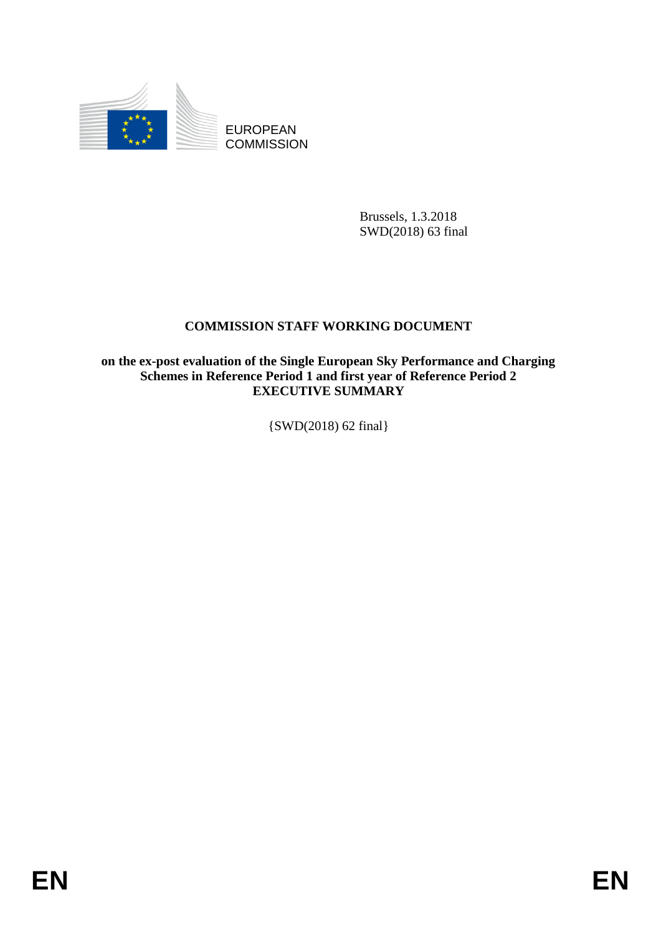

EUROPEAN **COMMISSION** 

> Brussels, 1.3.2018 SWD(2018) 63 final

## **COMMISSION STAFF WORKING DOCUMENT**

**on the ex-post evaluation of the Single European Sky Performance and Charging Schemes in Reference Period 1 and first year of Reference Period 2 EXECUTIVE SUMMARY**

{SWD(2018) 62 final}